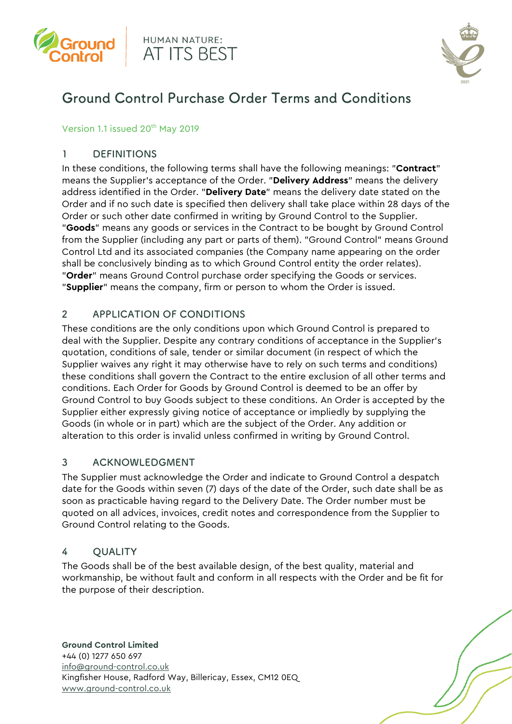





# Ground Control Purchase Order Terms and Conditions

#### Version 1.1 issued 20<sup>th</sup> May 2019

# 1 DEFINITIONS

In these conditions, the following terms shall have the following meanings: "**Contract**" means the Supplier's acceptance of the Order. "**Delivery Address**" means the delivery address identified in the Order. "**Delivery Date**" means the delivery date stated on the Order and if no such date is specified then delivery shall take place within 28 days of the Order or such other date confirmed in writing by Ground Control to the Supplier. "**Goods**" means any goods or services in the Contract to be bought by Ground Control from the Supplier (including any part or parts of them). "Ground Control" means Ground Control Ltd and its associated companies (the Company name appearing on the order shall be conclusively binding as to which Ground Control entity the order relates). "**Order**" means Ground Control purchase order specifying the Goods or services. "**Supplier**" means the company, firm or person to whom the Order is issued.

# 2 APPLICATION OF CONDITIONS

These conditions are the only conditions upon which Ground Control is prepared to deal with the Supplier. Despite any contrary conditions of acceptance in the Supplier's quotation, conditions of sale, tender or similar document (in respect of which the Supplier waives any right it may otherwise have to rely on such terms and conditions) these conditions shall govern the Contract to the entire exclusion of all other terms and conditions. Each Order for Goods by Ground Control is deemed to be an offer by Ground Control to buy Goods subject to these conditions. An Order is accepted by the Supplier either expressly giving notice of acceptance or impliedly by supplying the Goods (in whole or in part) which are the subject of the Order. Any addition or alteration to this order is invalid unless confirmed in writing by Ground Control.

# 3 ACKNOWLEDGMENT

The Supplier must acknowledge the Order and indicate to Ground Control a despatch date for the Goods within seven (7) days of the date of the Order, such date shall be as soon as practicable having regard to the Delivery Date. The Order number must be quoted on all advices, invoices, credit notes and correspondence from the Supplier to Ground Control relating to the Goods.

# 4 QUALITY

The Goods shall be of the best available design, of the best quality, material and workmanship, be without fault and conform in all respects with the Order and be fit for the purpose of their description.

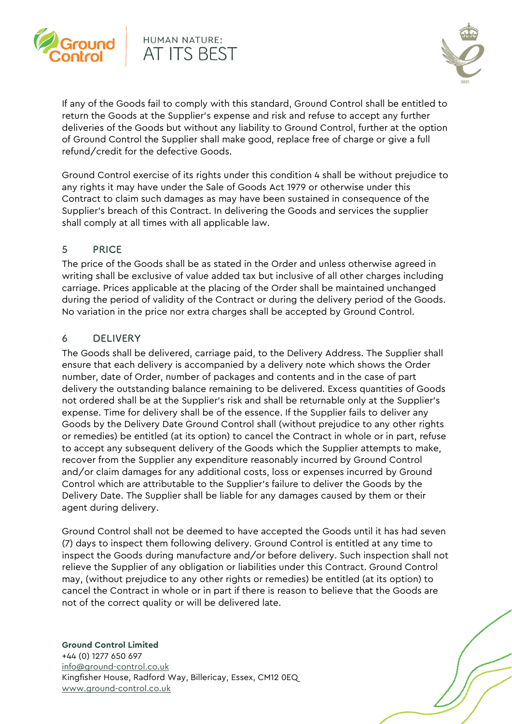

# HUMAN NATURE: AT ITS BEST



If any of the Goods fail to comply with this standard, Ground Control shall be entitled to return the Goods at the Supplier's expense and risk and refuse to accept any further deliveries of the Goods but without any liability to Ground Control, further at the option of Ground Control the Supplier shall make good, replace free of charge or give a full refund/credit for the defective Goods.

Ground Control exercise of its rights under this condition 4 shall be without prejudice to any rights it may have under the Sale of Goods Act 1979 or otherwise under this Contract to claim such damages as may have been sustained in consequence of the Supplier's breach of this Contract. In delivering the Goods and services the supplier shall comply at all times with all applicable law.

# 5 PRICE

The price of the Goods shall be as stated in the Order and unless otherwise agreed in writing shall be exclusive of value added tax but inclusive of all other charges including carriage. Prices applicable at the placing of the Order shall be maintained unchanged during the period of validity of the Contract or during the delivery period of the Goods. No variation in the price nor extra charges shall be accepted by Ground Control.

#### 6 DELIVERY

The Goods shall be delivered, carriage paid, to the Delivery Address. The Supplier shall ensure that each delivery is accompanied by a delivery note which shows the Order number, date of Order, number of packages and contents and in the case of part delivery the outstanding balance remaining to be delivered. Excess quantities of Goods not ordered shall be at the Supplier's risk and shall be returnable only at the Supplier's expense. Time for delivery shall be of the essence. If the Supplier fails to deliver any Goods by the Delivery Date Ground Control shall (without prejudice to any other rights or remedies) be entitled (at its option) to cancel the Contract in whole or in part, refuse to accept any subsequent delivery of the Goods which the Supplier attempts to make, recover from the Supplier any expenditure reasonably incurred by Ground Control and/or claim damages for any additional costs, loss or expenses incurred by Ground Control which are attributable to the Supplier's failure to deliver the Goods by the Delivery Date. The Supplier shall be liable for any damages caused by them or their agent during delivery.

Ground Control shall not be deemed to have accepted the Goods until it has had seven (7) days to inspect them following delivery. Ground Control is entitled at any time to inspect the Goods during manufacture and/or before delivery. Such inspection shall not relieve the Supplier of any obligation or liabilities under this Contract. Ground Control may, (without prejudice to any other rights or remedies) be entitled (at its option) to cancel the Contract in whole or in part if there is reason to believe that the Goods are not of the correct quality or will be delivered late.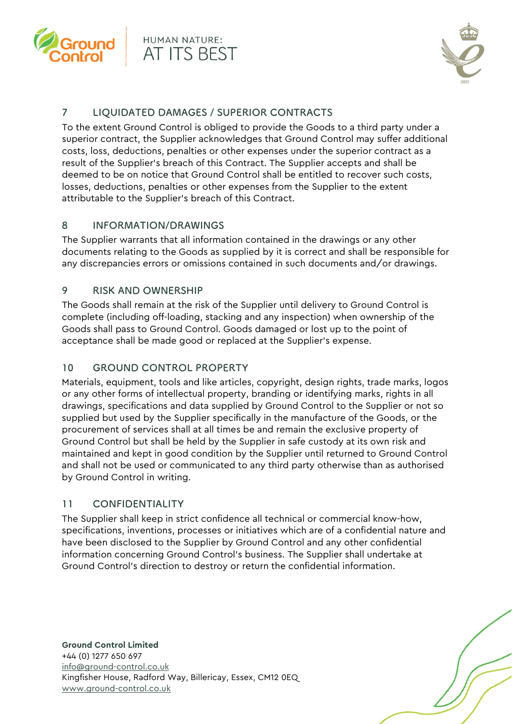



# 7 LIQUIDATED DAMAGES / SUPERIOR CONTRACTS

To the extent Ground Control is obliged to provide the Goods to a third party under a superior contract, the Supplier acknowledges that Ground Control may suffer additional costs, loss, deductions, penalties or other expenses under the superior contract as a result of the Supplier's breach of this Contract. The Supplier accepts and shall be deemed to be on notice that Ground Control shall be entitled to recover such costs, losses, deductions, penalties or other expenses from the Supplier to the extent attributable to the Supplier's breach of this Contract.

# 8 INFORMATION/DRAWINGS

The Supplier warrants that all information contained in the drawings or any other documents relating to the Goods as supplied by it is correct and shall be responsible for any discrepancies errors or omissions contained in such documents and/or drawings.

# 9 RISK AND OWNERSHIP

The Goods shall remain at the risk of the Supplier until delivery to Ground Control is complete (including off-loading, stacking and any inspection) when ownership of the Goods shall pass to Ground Control. Goods damaged or lost up to the point of acceptance shall be made good or replaced at the Supplier's expense.

# 10 GROUND CONTROL PROPERTY

Materials, equipment, tools and like articles, copyright, design rights, trade marks, logos or any other forms of intellectual property, branding or identifying marks, rights in all drawings, specifications and data supplied by Ground Control to the Supplier or not so supplied but used by the Supplier specifically in the manufacture of the Goods, or the procurement of services shall at all times be and remain the exclusive property of Ground Control but shall be held by the Supplier in safe custody at its own risk and maintained and kept in good condition by the Supplier until returned to Ground Control and shall not be used or communicated to any third party otherwise than as authorised by Ground Control in writing.

# 11 CONFIDENTIALITY

The Supplier shall keep in strict confidence all technical or commercial know-how, specifications, inventions, processes or initiatives which are of a confidential nature and have been disclosed to the Supplier by Ground Control and any other confidential information concerning Ground Control's business. The Supplier shall undertake at Ground Control's direction to destroy or return the confidential information.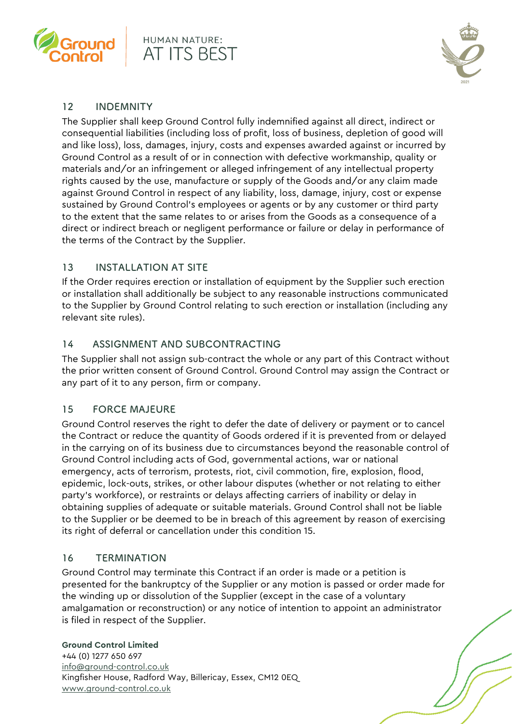



# 12 INDEMNITY

The Supplier shall keep Ground Control fully indemnified against all direct, indirect or consequential liabilities (including loss of profit, loss of business, depletion of good will and like loss), loss, damages, injury, costs and expenses awarded against or incurred by Ground Control as a result of or in connection with defective workmanship, quality or materials and/or an infringement or alleged infringement of any intellectual property rights caused by the use, manufacture or supply of the Goods and/or any claim made against Ground Control in respect of any liability, loss, damage, injury, cost or expense sustained by Ground Control's employees or agents or by any customer or third party to the extent that the same relates to or arises from the Goods as a consequence of a direct or indirect breach or negligent performance or failure or delay in performance of the terms of the Contract by the Supplier.

# 13 INSTALLATION AT SITE

If the Order requires erection or installation of equipment by the Supplier such erection or installation shall additionally be subject to any reasonable instructions communicated to the Supplier by Ground Control relating to such erection or installation (including any relevant site rules).

# 14 ASSIGNMENT AND SUBCONTRACTING

The Supplier shall not assign sub-contract the whole or any part of this Contract without the prior written consent of Ground Control. Ground Control may assign the Contract or any part of it to any person, firm or company.

# 15 FORCE MAJEURE

Ground Control reserves the right to defer the date of delivery or payment or to cancel the Contract or reduce the quantity of Goods ordered if it is prevented from or delayed in the carrying on of its business due to circumstances beyond the reasonable control of Ground Control including acts of God, governmental actions, war or national emergency, acts of terrorism, protests, riot, civil commotion, fire, explosion, flood, epidemic, lock-outs, strikes, or other labour disputes (whether or not relating to either party's workforce), or restraints or delays affecting carriers of inability or delay in obtaining supplies of adequate or suitable materials. Ground Control shall not be liable to the Supplier or be deemed to be in breach of this agreement by reason of exercising its right of deferral or cancellation under this condition 15.

# 16 TERMINATION

Ground Control may terminate this Contract if an order is made or a petition is presented for the bankruptcy of the Supplier or any motion is passed or order made for the winding up or dissolution of the Supplier (except in the case of a voluntary amalgamation or reconstruction) or any notice of intention to appoint an administrator is filed in respect of the Supplier.

#### **Ground Control Limited**